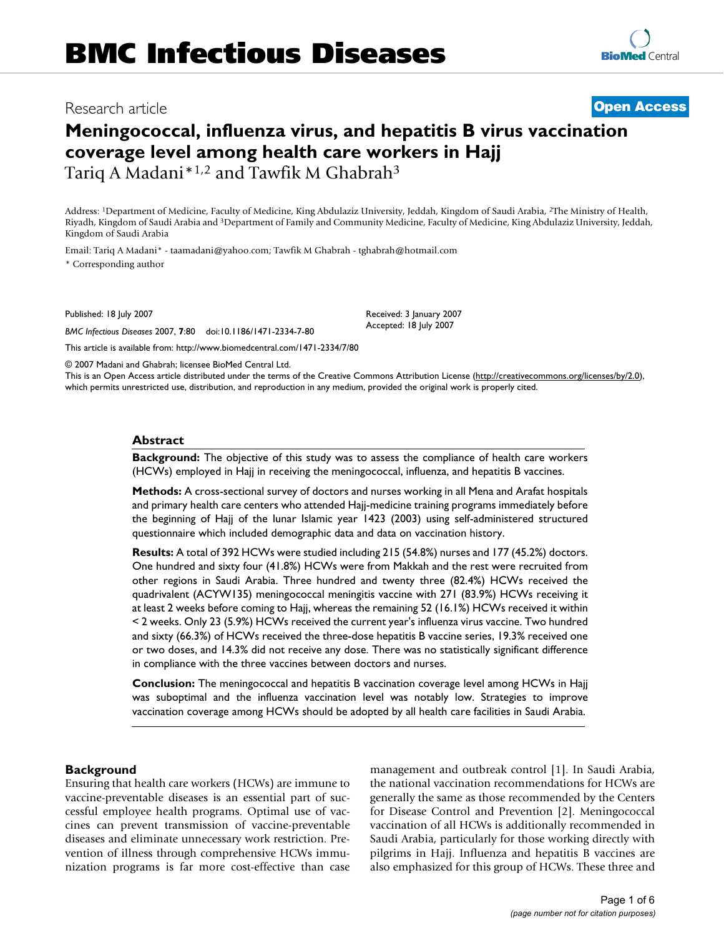# Research article **[Open Access](http://www.biomedcentral.com/info/about/charter/)**

# **Meningococcal, influenza virus, and hepatitis B virus vaccination coverage level among health care workers in Hajj** Tariq A Madani\*<sup>1,2</sup> and Tawfik M Ghabrah<sup>3</sup>

Address: 1Department of Medicine, Faculty of Medicine, King Abdulaziz University, Jeddah, Kingdom of Saudi Arabia, 2The Ministry of Health, Riyadh, Kingdom of Saudi Arabia and 3Department of Family and Community Medicine, Faculty of Medicine, King Abdulaziz University, Jeddah, Kingdom of Saudi Arabia

Email: Tariq A Madani\* - taamadani@yahoo.com; Tawfik M Ghabrah - tghabrah@hotmail.com

\* Corresponding author

Published: 18 July 2007

*BMC Infectious Diseases* 2007, **7**:80 doi:10.1186/1471-2334-7-80

Received: 3 January 2007 Accepted: 18 July 2007

© 2007 Madani and Ghabrah; licensee BioMed Central Ltd.

[This article is available from: http://www.biomedcentral.com/1471-2334/7/80](http://www.biomedcentral.com/1471-2334/7/80)

This is an Open Access article distributed under the terms of the Creative Commons Attribution License [\(http://creativecommons.org/licenses/by/2.0\)](http://creativecommons.org/licenses/by/2.0), which permits unrestricted use, distribution, and reproduction in any medium, provided the original work is properly cited.

#### **Abstract**

**Background:** The objective of this study was to assess the compliance of health care workers (HCWs) employed in Hajj in receiving the meningococcal, influenza, and hepatitis B vaccines.

**Methods:** A cross-sectional survey of doctors and nurses working in all Mena and Arafat hospitals and primary health care centers who attended Hajj-medicine training programs immediately before the beginning of Hajj of the lunar Islamic year 1423 (2003) using self-administered structured questionnaire which included demographic data and data on vaccination history.

**Results:** A total of 392 HCWs were studied including 215 (54.8%) nurses and 177 (45.2%) doctors. One hundred and sixty four (41.8%) HCWs were from Makkah and the rest were recruited from other regions in Saudi Arabia. Three hundred and twenty three (82.4%) HCWs received the quadrivalent (ACYW135) meningococcal meningitis vaccine with 271 (83.9%) HCWs receiving it at least 2 weeks before coming to Hajj, whereas the remaining 52 (16.1%) HCWs received it within < 2 weeks. Only 23 (5.9%) HCWs received the current year's influenza virus vaccine. Two hundred and sixty (66.3%) of HCWs received the three-dose hepatitis B vaccine series, 19.3% received one or two doses, and 14.3% did not receive any dose. There was no statistically significant difference in compliance with the three vaccines between doctors and nurses.

**Conclusion:** The meningococcal and hepatitis B vaccination coverage level among HCWs in Hajj was suboptimal and the influenza vaccination level was notably low. Strategies to improve vaccination coverage among HCWs should be adopted by all health care facilities in Saudi Arabia.

#### **Background**

Ensuring that health care workers (HCWs) are immune to vaccine-preventable diseases is an essential part of successful employee health programs. Optimal use of vaccines can prevent transmission of vaccine-preventable diseases and eliminate unnecessary work restriction. Prevention of illness through comprehensive HCWs immunization programs is far more cost-effective than case management and outbreak control [1]. In Saudi Arabia, the national vaccination recommendations for HCWs are generally the same as those recommended by the Centers for Disease Control and Prevention [2]. Meningococcal vaccination of all HCWs is additionally recommended in Saudi Arabia, particularly for those working directly with pilgrims in Hajj. Influenza and hepatitis B vaccines are also emphasized for this group of HCWs. These three and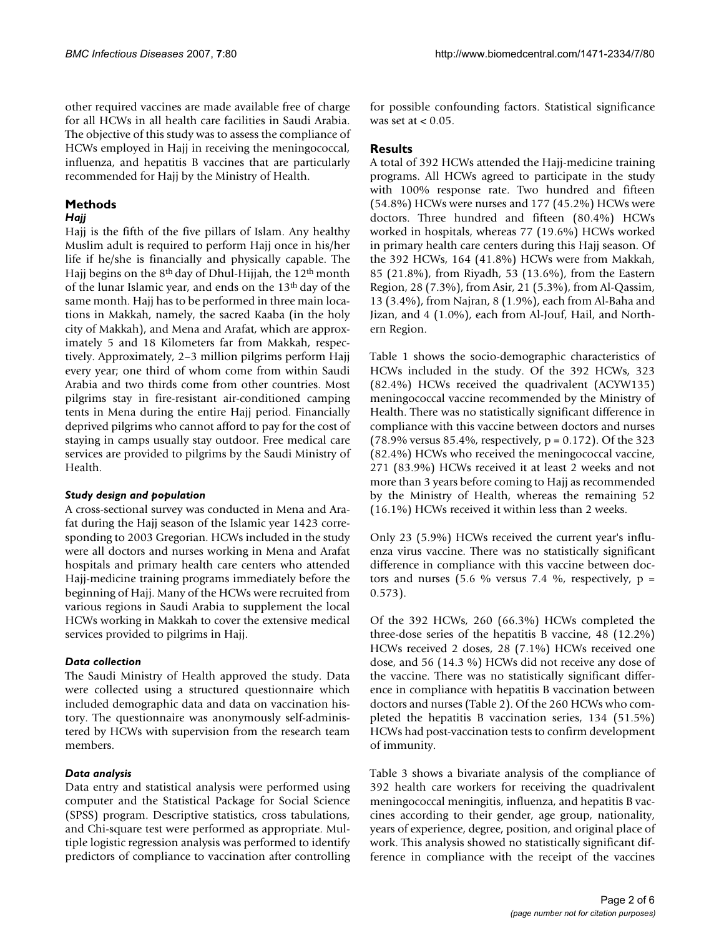other required vaccines are made available free of charge for all HCWs in all health care facilities in Saudi Arabia. The objective of this study was to assess the compliance of HCWs employed in Hajj in receiving the meningococcal, influenza, and hepatitis B vaccines that are particularly recommended for Hajj by the Ministry of Health.

# **Methods**

# *Hajj*

Hajj is the fifth of the five pillars of Islam. Any healthy Muslim adult is required to perform Hajj once in his/her life if he/she is financially and physically capable. The Hajj begins on the 8th day of Dhul-Hijjah, the 12th month of the lunar Islamic year, and ends on the 13th day of the same month. Hajj has to be performed in three main locations in Makkah, namely, the sacred Kaaba (in the holy city of Makkah), and Mena and Arafat, which are approximately 5 and 18 Kilometers far from Makkah, respectively. Approximately, 2–3 million pilgrims perform Hajj every year; one third of whom come from within Saudi Arabia and two thirds come from other countries. Most pilgrims stay in fire-resistant air-conditioned camping tents in Mena during the entire Hajj period. Financially deprived pilgrims who cannot afford to pay for the cost of staying in camps usually stay outdoor. Free medical care services are provided to pilgrims by the Saudi Ministry of Health.

# *Study design and population*

A cross-sectional survey was conducted in Mena and Arafat during the Hajj season of the Islamic year 1423 corresponding to 2003 Gregorian. HCWs included in the study were all doctors and nurses working in Mena and Arafat hospitals and primary health care centers who attended Hajj-medicine training programs immediately before the beginning of Hajj. Many of the HCWs were recruited from various regions in Saudi Arabia to supplement the local HCWs working in Makkah to cover the extensive medical services provided to pilgrims in Hajj.

# *Data collection*

The Saudi Ministry of Health approved the study. Data were collected using a structured questionnaire which included demographic data and data on vaccination history. The questionnaire was anonymously self-administered by HCWs with supervision from the research team members.

# *Data analysis*

Data entry and statistical analysis were performed using computer and the Statistical Package for Social Science (SPSS) program. Descriptive statistics, cross tabulations, and Chi-square test were performed as appropriate. Multiple logistic regression analysis was performed to identify predictors of compliance to vaccination after controlling for possible confounding factors. Statistical significance was set at  $< 0.05$ .

# **Results**

A total of 392 HCWs attended the Hajj-medicine training programs. All HCWs agreed to participate in the study with 100% response rate. Two hundred and fifteen (54.8%) HCWs were nurses and 177 (45.2%) HCWs were doctors. Three hundred and fifteen (80.4%) HCWs worked in hospitals, whereas 77 (19.6%) HCWs worked in primary health care centers during this Hajj season. Of the 392 HCWs, 164 (41.8%) HCWs were from Makkah, 85 (21.8%), from Riyadh, 53 (13.6%), from the Eastern Region, 28 (7.3%), from Asir, 21 (5.3%), from Al-Qassim, 13 (3.4%), from Najran, 8 (1.9%), each from Al-Baha and Jizan, and 4 (1.0%), each from Al-Jouf, Hail, and Northern Region.

Table 1 shows the socio-demographic characteristics of HCWs included in the study. Of the 392 HCWs, 323 (82.4%) HCWs received the quadrivalent (ACYW135) meningococcal vaccine recommended by the Ministry of Health. There was no statistically significant difference in compliance with this vaccine between doctors and nurses (78.9% versus 85.4%, respectively,  $p = 0.172$ ). Of the 323 (82.4%) HCWs who received the meningococcal vaccine, 271 (83.9%) HCWs received it at least 2 weeks and not more than 3 years before coming to Hajj as recommended by the Ministry of Health, whereas the remaining 52 (16.1%) HCWs received it within less than 2 weeks.

Only 23 (5.9%) HCWs received the current year's influenza virus vaccine. There was no statistically significant difference in compliance with this vaccine between doctors and nurses (5.6 % versus 7.4 %, respectively,  $p =$ 0.573).

Of the 392 HCWs, 260 (66.3%) HCWs completed the three-dose series of the hepatitis B vaccine, 48 (12.2%) HCWs received 2 doses, 28 (7.1%) HCWs received one dose, and 56 (14.3 %) HCWs did not receive any dose of the vaccine. There was no statistically significant difference in compliance with hepatitis B vaccination between doctors and nurses (Table 2). Of the 260 HCWs who completed the hepatitis B vaccination series, 134 (51.5%) HCWs had post-vaccination tests to confirm development of immunity.

Table 3 shows a bivariate analysis of the compliance of 392 health care workers for receiving the quadrivalent meningococcal meningitis, influenza, and hepatitis B vaccines according to their gender, age group, nationality, years of experience, degree, position, and original place of work. This analysis showed no statistically significant difference in compliance with the receipt of the vaccines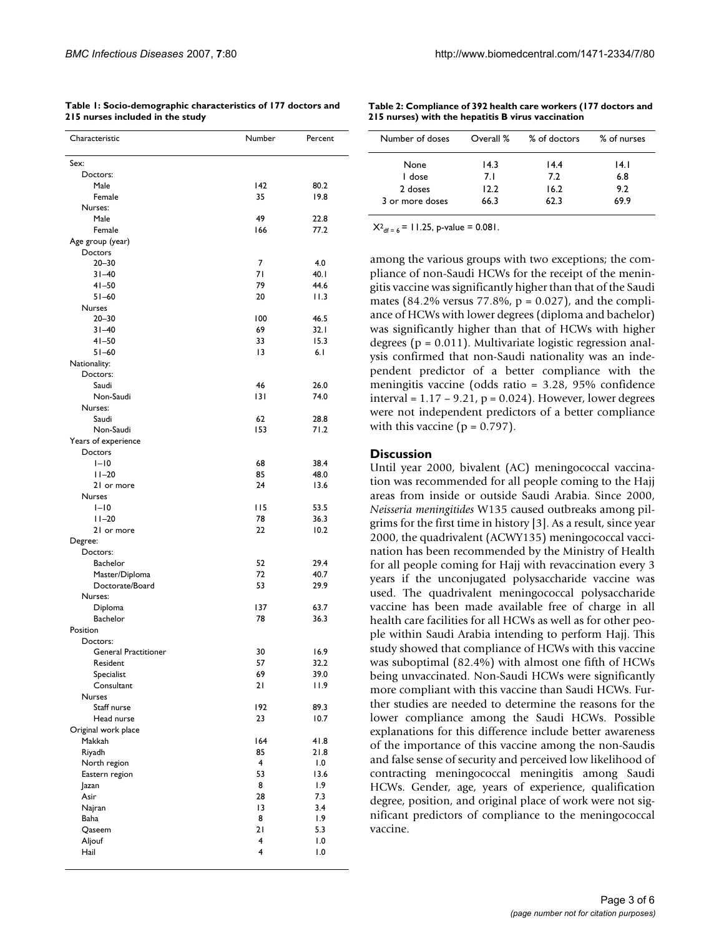| Characteristic                          | Number   | Percent      |  |  |
|-----------------------------------------|----------|--------------|--|--|
| Sex:                                    |          |              |  |  |
| Doctors:                                |          |              |  |  |
| Male                                    | 142      | 80.2         |  |  |
| Female                                  | 35       | 19.8         |  |  |
| Nurses:                                 |          |              |  |  |
| Male                                    | 49       | 22.8         |  |  |
| Female<br>Age group (year)              | 166      | 77.2         |  |  |
| Doctors                                 |          |              |  |  |
| $20 - 30$                               | 7        | 4.0          |  |  |
| $31 - 40$                               | 71       | 40.1         |  |  |
| $41 - 50$                               | 79       | 44.6         |  |  |
| $51 - 60$                               | 20       | 11.3         |  |  |
| <b>Nurses</b>                           |          |              |  |  |
| $20 - 30$                               | 100      | 46.5         |  |  |
| $31 - 40$                               | 69       | 32.1         |  |  |
| $41 - 50$                               | 33       | 15.3         |  |  |
| $51 - 60$                               | 3        | 6.1          |  |  |
| Nationality:<br>Doctors:                |          |              |  |  |
| Saudi                                   | 46       | 26.0         |  |  |
| Non-Saudi                               | 3        | 74.0         |  |  |
| Nurses:                                 |          |              |  |  |
| Saudi                                   | 62       | 28.8         |  |  |
| Non-Saudi                               | 153      | 71.2         |  |  |
| Years of experience                     |          |              |  |  |
| Doctors                                 |          |              |  |  |
| $I-I$ 0                                 | 68       | 38.4         |  |  |
| $11 - 20$                               | 85       | 48.0         |  |  |
| 21 or more                              | 24       | 13.6         |  |  |
| <b>Nurses</b>                           |          |              |  |  |
| $I-I$ 0                                 | 115      | 53.5         |  |  |
| $11 - 20$<br>21 or more                 | 78<br>22 | 36.3<br>10.2 |  |  |
| Degree:                                 |          |              |  |  |
| Doctors:                                |          |              |  |  |
| Bachelor                                | 52       | 29.4         |  |  |
| Master/Diploma                          | 72       | 40.7         |  |  |
| Doctorate/Board                         | 53       | 29.9         |  |  |
| Nurses:                                 |          |              |  |  |
| Diploma                                 | 137      | 63.7         |  |  |
| Bachelor                                | 78       | 36.3         |  |  |
| Position                                |          |              |  |  |
| Doctors:<br><b>General Practitioner</b> | 30       | 16.9         |  |  |
| Resident                                | 57       | 32.2         |  |  |
| Specialist                              | 69       | 39.0         |  |  |
| Consultant                              | 21       | 11.9         |  |  |
| Nurses                                  |          |              |  |  |
| Staff nurse                             | 192      | 89.3         |  |  |
| Head nurse                              | 23       | 10.7         |  |  |
| Original work place                     |          |              |  |  |
| Makkah                                  | 164      | 41.8         |  |  |
| Riyadh                                  | 85       | 21.8         |  |  |
| North region                            | 4        | 0.1          |  |  |
| Eastern region                          | 53       | 13.6         |  |  |
| Jazan<br>Asir                           | 8<br>28  | 1.9<br>7.3   |  |  |
| Najran                                  | 13       | 3.4          |  |  |
| Baha                                    | 8        | 1.9          |  |  |
| Qaseem                                  | 21       | 5.3          |  |  |
| Aljouf                                  | 4        | 1.0          |  |  |
| Hail                                    | 4        | 1.0          |  |  |
|                                         |          |              |  |  |

**Table 1: Socio-demographic characteristics of 177 doctors and 215 nurses included in the study**

**Table 2: Compliance of 392 health care workers (177 doctors and 215 nurses) with the hepatitis B virus vaccination**

| Number of doses | Overall % | % of doctors | % of nurses |
|-----------------|-----------|--------------|-------------|
| None            | 14.3      | 14.4         | 14. I       |
| I dose          | 7. L      | 7.2          | 6.8         |
| 2 doses         | 12.2      | 16.2         | 9.2         |
| 3 or more doses | 66.3      | 62.3         | 69.9        |

 $X^2$ <sub>df = 6</sub> = 11.25, p-value = 0.081.

among the various groups with two exceptions; the compliance of non-Saudi HCWs for the receipt of the meningitis vaccine was significantly higher than that of the Saudi mates (84.2% versus 77.8%,  $p = 0.027$ ), and the compliance of HCWs with lower degrees (diploma and bachelor) was significantly higher than that of HCWs with higher degrees ( $p = 0.011$ ). Multivariate logistic regression analysis confirmed that non-Saudi nationality was an independent predictor of a better compliance with the meningitis vaccine (odds ratio = 3.28, 95% confidence interval =  $1.17 - 9.21$ ,  $p = 0.024$ ). However, lower degrees were not independent predictors of a better compliance with this vaccine ( $p = 0.797$ ).

#### **Discussion**

Until year 2000, bivalent (AC) meningococcal vaccination was recommended for all people coming to the Hajj areas from inside or outside Saudi Arabia. Since 2000, *Neisseria meningitides* W135 caused outbreaks among pilgrims for the first time in history [3]. As a result, since year 2000, the quadrivalent (ACWY135) meningococcal vaccination has been recommended by the Ministry of Health for all people coming for Hajj with revaccination every 3 years if the unconjugated polysaccharide vaccine was used. The quadrivalent meningococcal polysaccharide vaccine has been made available free of charge in all health care facilities for all HCWs as well as for other people within Saudi Arabia intending to perform Hajj. This study showed that compliance of HCWs with this vaccine was suboptimal (82.4%) with almost one fifth of HCWs being unvaccinated. Non-Saudi HCWs were significantly more compliant with this vaccine than Saudi HCWs. Further studies are needed to determine the reasons for the lower compliance among the Saudi HCWs. Possible explanations for this difference include better awareness of the importance of this vaccine among the non-Saudis and false sense of security and perceived low likelihood of contracting meningococcal meningitis among Saudi HCWs. Gender, age, years of experience, qualification degree, position, and original place of work were not significant predictors of compliance to the meningococcal vaccine.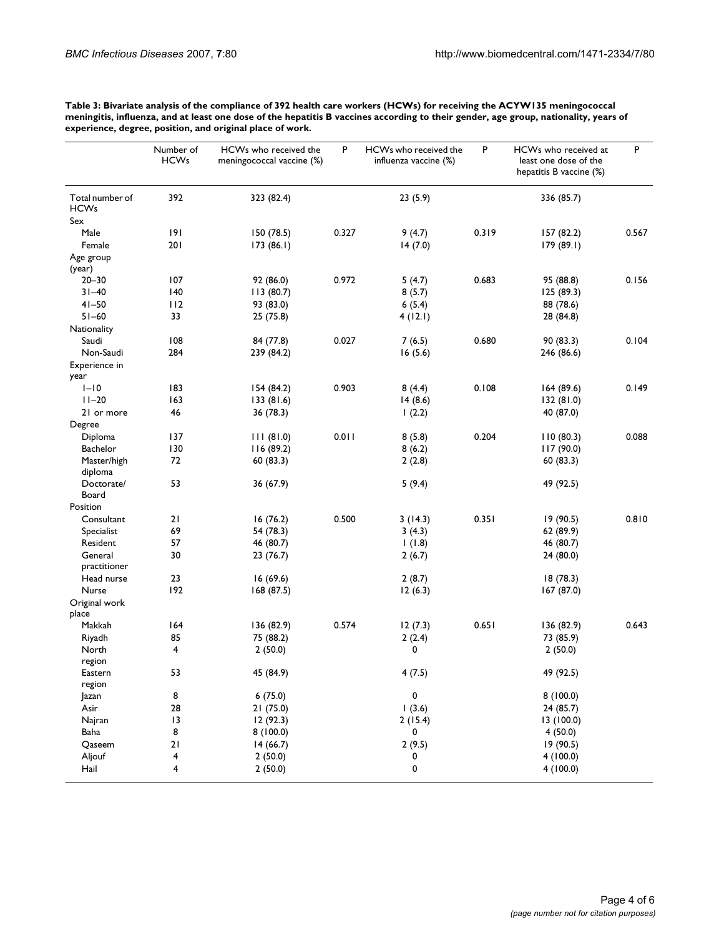| Table 3: Bivariate analysis of the compliance of 392 health care workers (HCWs) for receiving the ACYW135 meningococcal              |
|--------------------------------------------------------------------------------------------------------------------------------------|
| meningitis, influenza, and at least one dose of the hepatitis B vaccines according to their gender, age group, nationality, years of |
| experience, degree, position, and original place of work.                                                                            |

|                                | Number of<br><b>HCWs</b> | HCWs who received the<br>meningococcal vaccine (%) | P     | HCWs who received the<br>influenza vaccine (%) | P     | HCWs who received at<br>least one dose of the<br>hepatitis B vaccine (%) | P     |
|--------------------------------|--------------------------|----------------------------------------------------|-------|------------------------------------------------|-------|--------------------------------------------------------------------------|-------|
| Total number of<br><b>HCWs</b> | 392                      | 323 (82.4)                                         |       | 23(5.9)                                        |       | 336 (85.7)                                                               |       |
| Sex                            |                          |                                                    |       |                                                | 0.319 |                                                                          |       |
| Male                           | 191<br>201               | 150 (78.5)                                         | 0.327 | 9(4.7)                                         |       | 157(82.2)                                                                | 0.567 |
| Female                         |                          | 173(86.1)                                          |       | 14(7.0)                                        |       | 179 (89.1)                                                               |       |
| Age group<br>(year)            |                          |                                                    |       |                                                |       |                                                                          |       |
| $20 - 30$                      | 107                      | 92 (86.0)                                          | 0.972 | 5(4.7)                                         | 0.683 | 95 (88.8)                                                                | 0.156 |
| $31 - 40$                      | 140                      | 113(80.7)                                          |       | 8(5.7)                                         |       | 125 (89.3)                                                               |       |
| $41 - 50$                      | 112                      | 93 (83.0)                                          |       | 6(5.4)                                         |       | 88 (78.6)                                                                |       |
| $51 - 60$                      | 33                       | 25 (75.8)                                          |       | 4(12.1)                                        |       | 28 (84.8)                                                                |       |
| Nationality                    |                          |                                                    |       |                                                |       |                                                                          |       |
| Saudi                          | 108                      | 84 (77.8)                                          | 0.027 | 7(6.5)                                         | 0.680 | 90 (83.3)                                                                | 0.104 |
| Non-Saudi                      | 284                      | 239 (84.2)                                         |       | 16(5.6)                                        |       | 246 (86.6)                                                               |       |
| Experience in                  |                          |                                                    |       |                                                |       |                                                                          |       |
| year                           |                          |                                                    |       |                                                |       |                                                                          |       |
| $I-I0$                         | 183                      | 154 (84.2)                                         | 0.903 | 8(4.4)                                         | 0.108 | 164(89.6)                                                                | 0.149 |
| $11 - 20$                      | 163                      | 133 (81.6)                                         |       | 14(8.6)                                        |       | 132 (81.0)                                                               |       |
| 21 or more                     | 46                       | 36 (78.3)                                          |       | 1(2.2)                                         |       | 40 (87.0)                                                                |       |
| Degree                         |                          |                                                    |       |                                                |       |                                                                          |       |
| Diploma                        | 137                      | 111(81.0)                                          | 0.011 | 8(5.8)                                         | 0.204 | 110(80.3)                                                                | 0.088 |
| Bachelor                       | 130                      | 116 (89.2)                                         |       | 8(6.2)                                         |       | 117 (90.0)                                                               |       |
| Master/high                    | 72                       | 60(83.3)                                           |       | 2(2.8)                                         |       | 60(83.3)                                                                 |       |
| diploma                        |                          |                                                    |       |                                                |       |                                                                          |       |
| Doctorate/                     | 53                       | 36 (67.9)                                          |       | 5(9.4)                                         |       | 49 (92.5)                                                                |       |
| Board                          |                          |                                                    |       |                                                |       |                                                                          |       |
| Position                       |                          |                                                    | 0.500 |                                                | 0.351 |                                                                          | 0.810 |
| Consultant                     | 21                       | 16(76.2)                                           |       | 3(14.3)                                        |       | 19 (90.5)                                                                |       |
| Specialist                     | 69                       | 54 (78.3)                                          |       | 3(4.3)                                         |       | 62 (89.9)                                                                |       |
| Resident                       | 57                       | 46 (80.7)                                          |       | (1.8)                                          |       | 46 (80.7)                                                                |       |
| General<br>practitioner        | 30                       | 23 (76.7)                                          |       | 2(6.7)                                         |       | 24(80.0)                                                                 |       |
| Head nurse                     | 23                       | 16(69.6)                                           |       | 2(8.7)                                         |       | 18(78.3)                                                                 |       |
| Nurse                          | 192                      |                                                    |       |                                                |       | 167 (87.0)                                                               |       |
| Original work                  |                          | 168 (87.5)                                         |       | 12(6.3)                                        |       |                                                                          |       |
| place                          |                          |                                                    |       |                                                |       |                                                                          |       |
| Makkah                         | 164                      | 136 (82.9)                                         | 0.574 | 12(7.3)                                        | 0.651 | 136 (82.9)                                                               | 0.643 |
| Riyadh                         | 85                       | 75 (88.2)                                          |       | 2(2.4)                                         |       | 73 (85.9)                                                                |       |
| North                          | 4                        | 2(50.0)                                            |       | 0                                              |       | 2(50.0)                                                                  |       |
| region                         |                          |                                                    |       |                                                |       |                                                                          |       |
| Eastern                        | 53                       | 45 (84.9)                                          |       | 4(7.5)                                         |       | 49 (92.5)                                                                |       |
| region                         |                          |                                                    |       |                                                |       |                                                                          |       |
| Jazan                          | 8                        | 6(75.0)                                            |       | 0                                              |       | 8(100.0)                                                                 |       |
| Asir                           | 28                       | 21(75.0)                                           |       | 1(3.6)                                         |       | 24 (85.7)                                                                |       |
| Najran                         | 13                       | 12(92.3)                                           |       | 2(15.4)                                        |       | 13(100.0)                                                                |       |
| Baha                           | 8                        | 8(100.0)                                           |       | 0                                              |       | 4(50.0)                                                                  |       |
| Qaseem                         | 21                       | 14(66.7)                                           |       | 2(9.5)                                         |       | 19 (90.5)                                                                |       |
| Aljouf                         | 4                        | 2(50.0)                                            |       | 0                                              |       | 4(100.0)                                                                 |       |
| Hail                           | 4                        | 2(50.0)                                            |       | 0                                              |       | 4(100.0)                                                                 |       |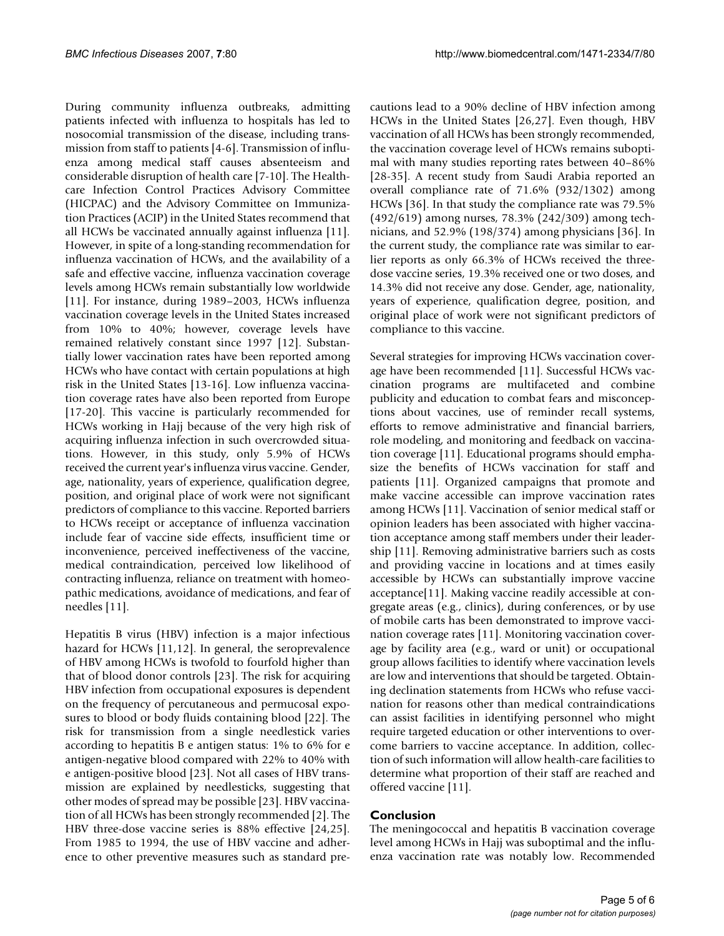During community influenza outbreaks, admitting patients infected with influenza to hospitals has led to nosocomial transmission of the disease, including transmission from staff to patients [4-6]. Transmission of influenza among medical staff causes absenteeism and considerable disruption of health care [7-10]. The Healthcare Infection Control Practices Advisory Committee (HICPAC) and the Advisory Committee on Immunization Practices (ACIP) in the United States recommend that all HCWs be vaccinated annually against influenza [11]. However, in spite of a long-standing recommendation for influenza vaccination of HCWs, and the availability of a safe and effective vaccine, influenza vaccination coverage levels among HCWs remain substantially low worldwide [11]. For instance, during 1989–2003, HCWs influenza vaccination coverage levels in the United States increased from 10% to 40%; however, coverage levels have remained relatively constant since 1997 [12]. Substantially lower vaccination rates have been reported among HCWs who have contact with certain populations at high risk in the United States [13-16]. Low influenza vaccination coverage rates have also been reported from Europe [17-20]. This vaccine is particularly recommended for HCWs working in Hajj because of the very high risk of acquiring influenza infection in such overcrowded situations. However, in this study, only 5.9% of HCWs received the current year's influenza virus vaccine. Gender, age, nationality, years of experience, qualification degree, position, and original place of work were not significant predictors of compliance to this vaccine. Reported barriers to HCWs receipt or acceptance of influenza vaccination include fear of vaccine side effects, insufficient time or inconvenience, perceived ineffectiveness of the vaccine, medical contraindication, perceived low likelihood of contracting influenza, reliance on treatment with homeopathic medications, avoidance of medications, and fear of needles [11].

Hepatitis B virus (HBV) infection is a major infectious hazard for HCWs [11,12]. In general, the seroprevalence of HBV among HCWs is twofold to fourfold higher than that of blood donor controls [23]. The risk for acquiring HBV infection from occupational exposures is dependent on the frequency of percutaneous and permucosal exposures to blood or body fluids containing blood [22]. The risk for transmission from a single needlestick varies according to hepatitis B e antigen status: 1% to 6% for e antigen-negative blood compared with 22% to 40% with e antigen-positive blood [23]. Not all cases of HBV transmission are explained by needlesticks, suggesting that other modes of spread may be possible [23]. HBV vaccination of all HCWs has been strongly recommended [2]. The HBV three-dose vaccine series is 88% effective [24,25]. From 1985 to 1994, the use of HBV vaccine and adherence to other preventive measures such as standard precautions lead to a 90% decline of HBV infection among HCWs in the United States [26,27]. Even though, HBV vaccination of all HCWs has been strongly recommended, the vaccination coverage level of HCWs remains suboptimal with many studies reporting rates between 40–86% [28-35]. A recent study from Saudi Arabia reported an overall compliance rate of 71.6% (932/1302) among HCWs [36]. In that study the compliance rate was 79.5% (492/619) among nurses, 78.3% (242/309) among technicians, and 52.9% (198/374) among physicians [36]. In the current study, the compliance rate was similar to earlier reports as only 66.3% of HCWs received the threedose vaccine series, 19.3% received one or two doses, and 14.3% did not receive any dose. Gender, age, nationality, years of experience, qualification degree, position, and original place of work were not significant predictors of compliance to this vaccine.

Several strategies for improving HCWs vaccination coverage have been recommended [11]. Successful HCWs vaccination programs are multifaceted and combine publicity and education to combat fears and misconceptions about vaccines, use of reminder recall systems, efforts to remove administrative and financial barriers, role modeling, and monitoring and feedback on vaccination coverage [11]. Educational programs should emphasize the benefits of HCWs vaccination for staff and patients [11]. Organized campaigns that promote and make vaccine accessible can improve vaccination rates among HCWs [11]. Vaccination of senior medical staff or opinion leaders has been associated with higher vaccination acceptance among staff members under their leadership [11]. Removing administrative barriers such as costs and providing vaccine in locations and at times easily accessible by HCWs can substantially improve vaccine acceptance[11]. Making vaccine readily accessible at congregate areas (e.g., clinics), during conferences, or by use of mobile carts has been demonstrated to improve vaccination coverage rates [11]. Monitoring vaccination coverage by facility area (e.g., ward or unit) or occupational group allows facilities to identify where vaccination levels are low and interventions that should be targeted. Obtaining declination statements from HCWs who refuse vaccination for reasons other than medical contraindications can assist facilities in identifying personnel who might require targeted education or other interventions to overcome barriers to vaccine acceptance. In addition, collection of such information will allow health-care facilities to determine what proportion of their staff are reached and offered vaccine [11].

# **Conclusion**

The meningococcal and hepatitis B vaccination coverage level among HCWs in Hajj was suboptimal and the influenza vaccination rate was notably low. Recommended